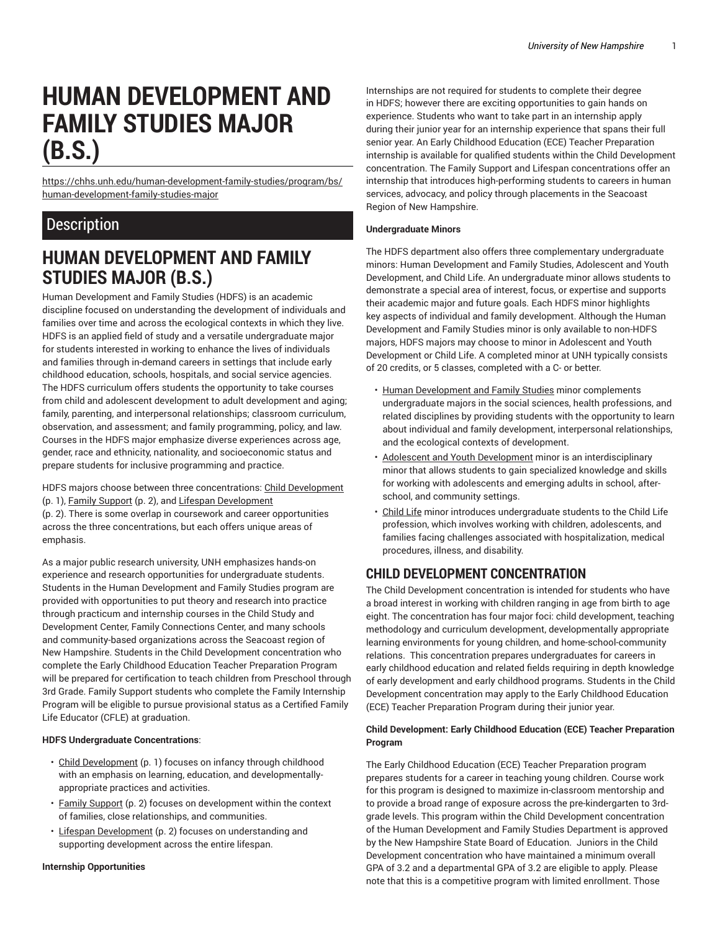# **HUMAN DEVELOPMENT AND FAMILY STUDIES MAJOR (B.S.)**

[https://chhs.unh.edu/human-development-family-studies/program/bs/](https://chhs.unh.edu/human-development-family-studies/program/bs/human-development-family-studies-major/) [human-development-family-studies-major](https://chhs.unh.edu/human-development-family-studies/program/bs/human-development-family-studies-major/)

# **Description**

# **HUMAN DEVELOPMENT AND FAMILY STUDIES MAJOR (B.S.)**

Human Development and Family Studies (HDFS) is an academic discipline focused on understanding the development of individuals and families over time and across the ecological contexts in which they live. HDFS is an applied field of study and a versatile undergraduate major for students interested in working to enhance the lives of individuals and families through in-demand careers in settings that include early childhood education, schools, hospitals, and social service agencies. The HDFS curriculum offers students the opportunity to take courses from child and adolescent development to adult development and aging; family, parenting, and interpersonal relationships; classroom curriculum, observation, and assessment; and family programming, policy, and law. Courses in the HDFS major emphasize diverse experiences across age, gender, race and ethnicity, nationality, and socioeconomic status and prepare students for inclusive programming and practice.

HDFS majors choose between three concentrations: Child [Development](#page-0-0) ([p. 1\)](#page-0-0), Family [Support \(p. 2](#page-1-0)), and Lifespan [Development](#page-1-1)

([p. 2\)](#page-1-1). There is some overlap in coursework and career opportunities across the three concentrations, but each offers unique areas of emphasis.

As a major public research university, UNH emphasizes hands-on experience and research opportunities for undergraduate students. Students in the Human Development and Family Studies program are provided with opportunities to put theory and research into practice through practicum and internship courses in the Child Study and Development Center, Family Connections Center, and many schools and community-based organizations across the Seacoast region of New Hampshire. Students in the Child Development concentration who complete the Early Childhood Education Teacher Preparation Program will be prepared for certification to teach children from Preschool through 3rd Grade. Family Support students who complete the Family Internship Program will be eligible to pursue provisional status as a Certified Family Life Educator (CFLE) at graduation.

### <span id="page-0-1"></span>**HDFS Undergraduate Concentrations**:

- Child [Development](#page-0-0) [\(p. 1](#page-0-0)) focuses on infancy through childhood with an emphasis on learning, education, and developmentallyappropriate practices and activities.
- Family [Support \(p. 2](#page-1-0)) focuses on development within the context of families, close relationships, and communities.
- Lifespan [Development](#page-1-1) ([p. 2\)](#page-1-1) focuses on understanding and supporting development across the entire lifespan.

#### **Internship Opportunities**

Internships are not required for students to complete their degree in HDFS; however there are exciting opportunities to gain hands on experience. Students who want to take part in an internship apply during their junior year for an internship experience that spans their full senior year. An Early Childhood Education (ECE) Teacher Preparation internship is available for qualified students within the Child Development concentration. The Family Support and Lifespan concentrations offer an internship that introduces high-performing students to careers in human services, advocacy, and policy through placements in the Seacoast Region of New Hampshire.

#### **Undergraduate Minors**

The HDFS department also offers three complementary undergraduate minors: Human Development and Family Studies, Adolescent and Youth Development, and Child Life. An undergraduate minor allows students to demonstrate a special area of interest, focus, or expertise and supports their academic major and future goals. Each HDFS minor highlights key aspects of individual and family development. Although the Human Development and Family Studies minor is only available to non-HDFS majors, HDFS majors may choose to minor in Adolescent and Youth Development or Child Life. A completed minor at UNH typically consists of 20 credits, or 5 classes, completed with a C- or better.

- Human [Development](https://chhs.unh.edu/human-development-family-studies/program/minor/human-development-family-studies/) and Family Studies minor complements undergraduate majors in the social sciences, health professions, and related disciplines by providing students with the opportunity to learn about individual and family development, interpersonal relationships, and the ecological contexts of development.
- Adolescent and Youth [Development](https://chhs.unh.edu/recreation-management-policy/program/minor/adolescent-youth-development/) minor is an interdisciplinary minor that allows students to gain specialized knowledge and skills for working with adolescents and emerging adults in school, afterschool, and community settings.
- [Child](https://chhs.unh.edu/human-development-family-studies/program/minor/child-life/) Life minor introduces undergraduate students to the Child Life profession, which involves working with children, adolescents, and families facing challenges associated with hospitalization, medical procedures, illness, and disability.

## <span id="page-0-0"></span>**CHILD DEVELOPMENT CONCENTRATION**

The Child Development concentration is intended for students who have a broad interest in working with children ranging in age from birth to age eight. The concentration has four major foci: child development, teaching methodology and curriculum development, developmentally appropriate learning environments for young children, and home-school-community relations. This concentration prepares undergraduates for careers in early childhood education and related fields requiring in depth knowledge of early development and early childhood programs. Students in the Child Development concentration may apply to the Early Childhood Education (ECE) Teacher Preparation Program during their junior year.

#### **Child Development: Early Childhood Education (ECE) Teacher Preparation Program**

The Early Childhood Education (ECE) Teacher Preparation program prepares students for a career in teaching young children. Course work for this program is designed to maximize in-classroom mentorship and to provide a broad range of exposure across the pre-kindergarten to 3rdgrade levels. This program within the Child Development concentration of the Human Development and Family Studies Department is approved by the New Hampshire State Board of Education. Juniors in the Child Development concentration who have maintained a minimum overall GPA of 3.2 and a departmental GPA of 3.2 are eligible to apply. Please note that this is a competitive program with limited enrollment. Those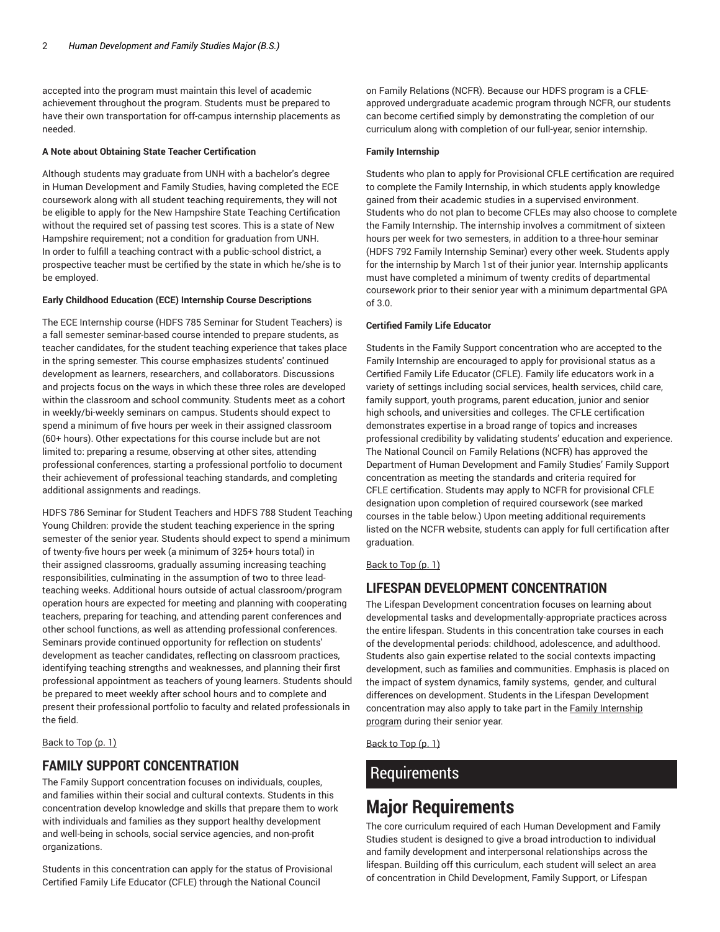accepted into the program must maintain this level of academic achievement throughout the program. Students must be prepared to have their own transportation for off-campus internship placements as needed.

#### **A Note about Obtaining State Teacher Certification**

Although students may graduate from UNH with a bachelor's degree in Human Development and Family Studies, having completed the ECE coursework along with all student teaching requirements, they will not be eligible to apply for the New Hampshire State Teaching Certification without the required set of passing test scores. This is a state of New Hampshire requirement; not a condition for graduation from UNH. In order to fulfill a teaching contract with a public-school district, a prospective teacher must be certified by the state in which he/she is to be employed.

#### **Early Childhood Education (ECE) Internship Course Descriptions**

The ECE Internship course (HDFS 785 Seminar for Student Teachers) is a fall semester seminar-based course intended to prepare students, as teacher candidates, for the student teaching experience that takes place in the spring semester. This course emphasizes students' continued development as learners, researchers, and collaborators. Discussions and projects focus on the ways in which these three roles are developed within the classroom and school community. Students meet as a cohort in weekly/bi-weekly seminars on campus. Students should expect to spend a minimum of five hours per week in their assigned classroom (60+ hours). Other expectations for this course include but are not limited to: preparing a resume, observing at other sites, attending professional conferences, starting a professional portfolio to document their achievement of professional teaching standards, and completing additional assignments and readings.

HDFS 786 Seminar for Student Teachers and HDFS 788 Student Teaching Young Children: provide the student teaching experience in the spring semester of the senior year. Students should expect to spend a minimum of twenty-five hours per week (a minimum of 325+ hours total) in their assigned classrooms, gradually assuming increasing teaching responsibilities, culminating in the assumption of two to three leadteaching weeks. Additional hours outside of actual classroom/program operation hours are expected for meeting and planning with cooperating teachers, preparing for teaching, and attending parent conferences and other school functions, as well as attending professional conferences. Seminars provide continued opportunity for reflection on students' development as teacher candidates, reflecting on classroom practices, identifying teaching strengths and weaknesses, and planning their first professional appointment as teachers of young learners. Students should be prepared to meet weekly after school hours and to complete and present their professional portfolio to faculty and related professionals in the field.

<span id="page-1-0"></span>[Back](#page-0-1) to Top [\(p. 1](#page-0-1))

## **FAMILY SUPPORT CONCENTRATION**

The Family Support concentration focuses on individuals, couples, and families within their social and cultural contexts. Students in this concentration develop knowledge and skills that prepare them to work with individuals and families as they support healthy development and well-being in schools, social service agencies, and non-profit organizations.

Students in this concentration can apply for the status of Provisional Certified Family Life Educator (CFLE) through the National Council

on Family Relations (NCFR). Because our HDFS program is a CFLEapproved undergraduate academic program through NCFR, our students can become certified simply by demonstrating the completion of our curriculum along with completion of our full-year, senior internship.

#### **Family Internship**

Students who plan to apply for Provisional CFLE certification are required to complete the Family Internship, in which students apply knowledge gained from their academic studies in a supervised environment. Students who do not plan to become CFLEs may also choose to complete the Family Internship. The internship involves a commitment of sixteen hours per week for two semesters, in addition to a three-hour seminar (HDFS 792 Family Internship Seminar) every other week. Students apply for the internship by March 1st of their junior year. Internship applicants must have completed a minimum of twenty credits of departmental coursework prior to their senior year with a minimum departmental GPA of 3.0.

#### **Certified Family Life Educator**

Students in the Family Support concentration who are accepted to the Family Internship are encouraged to apply for provisional status as a Certified Family Life Educator (CFLE). Family life educators work in a variety of settings including social services, health services, child care, family support, youth programs, parent education, junior and senior high schools, and universities and colleges. The CFLE certification demonstrates expertise in a broad range of topics and increases professional credibility by validating students' education and experience. The National Council on Family Relations (NCFR) has approved the Department of Human Development and Family Studies' Family Support concentration as meeting the standards and criteria required for CFLE certification. Students may apply to NCFR for provisional CFLE designation upon completion of required coursework (see marked courses in the table below.) Upon meeting additional requirements listed on the NCFR website, students can apply for full certification after graduation.

#### <span id="page-1-1"></span>[Back](#page-0-1) to Top ([p. 1\)](#page-0-1)

## **LIFESPAN DEVELOPMENT CONCENTRATION**

The Lifespan Development concentration focuses on learning about developmental tasks and developmentally-appropriate practices across the entire lifespan. Students in this concentration take courses in each of the developmental periods: childhood, adolescence, and adulthood. Students also gain expertise related to the social contexts impacting development, such as families and communities. Emphasis is placed on the impact of system dynamics, family systems, gender, and cultural differences on development. Students in the Lifespan Development concentration may also apply to take part in the Family [Internship](https://chhs.unh.edu/human-development-family-studies/opportunities/internships/) [program](https://chhs.unh.edu/human-development-family-studies/opportunities/internships/) during their senior year.

[Back](#page-0-1) to Top ([p. 1\)](#page-0-1)

## **Requirements**

# **Major Requirements**

The core curriculum required of each Human Development and Family Studies student is designed to give a broad introduction to individual and family development and interpersonal relationships across the lifespan. Building off this curriculum, each student will select an area of concentration in Child Development, Family Support, or Lifespan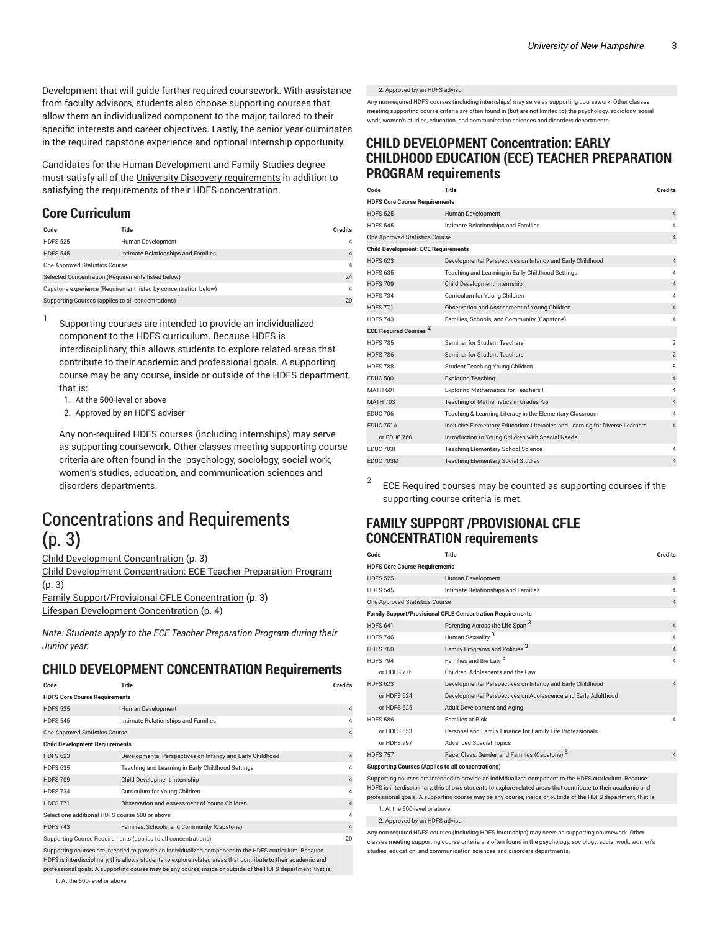Development that will guide further required coursework. With assistance from faculty advisors, students also choose supporting courses that allow them an individualized component to the major, tailored to their specific interests and career objectives. Lastly, the senior year culminates in the required capstone experience and optional internship opportunity.

Candidates for the Human Development and Family Studies degree must satisfy all of the University Discovery [requirements](https://www.unh.edu/discovery/discovery-courses/) in addition to satisfying the requirements of their HDFS concentration.

## **Core Curriculum**

1

| Code                                                            | Title                               | <b>Credits</b> |
|-----------------------------------------------------------------|-------------------------------------|----------------|
| <b>HDES 525</b>                                                 | Human Development                   |                |
| <b>HDES 545</b>                                                 | Intimate Relationships and Families | $\overline{4}$ |
| One Approved Statistics Course                                  |                                     | 4              |
| Selected Concentration (Requirements listed below)              |                                     | 24             |
| Capstone experience (Requirement listed by concentration below) |                                     | 4              |
| Supporting Courses (applies to all concentrations)              |                                     | 20             |

Supporting courses are intended to provide an individualized component to the HDFS curriculum. Because HDFS is interdisciplinary, this allows students to explore related areas that contribute to their academic and professional goals. A supporting course may be any course, inside or outside of the HDFS department, that is:

- 1. At the 500-level or above
- 2. Approved by an HDFS adviser

Any non-required HDFS courses (including internships) may serve as supporting coursework. Other classes meeting supporting course criteria are often found in the psychology, sociology, social work, women's studies, education, and communication sciences and disorders departments.

# <span id="page-2-0"></span>[Concentrations](#page-2-0) and Requirements **(**[p. 3](#page-2-0)**)**

Child Development [Concentration](#page-2-1) ([p. 3](#page-2-1))

Child Development [Concentration:](#page-2-2) ECE Teacher Preparation Program ([p. 3\)](#page-2-2) Family [Support/Provisional](#page-2-3) CFLE Concentration [\(p. 3](#page-2-3))

Lifespan Development [Concentration](#page-3-0) ([p. 4\)](#page-3-0)

*Note: Students apply to the ECE Teacher Preparation Program during their Junior year.*

## <span id="page-2-1"></span>**CHILD DEVELOPMENT CONCENTRATION Requirements**

| Code                                                           | Title                                                     | <b>Credits</b> |  |  |
|----------------------------------------------------------------|-----------------------------------------------------------|----------------|--|--|
| <b>HDFS Core Course Requirements</b>                           |                                                           |                |  |  |
| <b>HDFS 525</b>                                                | Human Development                                         | $\overline{4}$ |  |  |
| <b>HDFS 545</b>                                                | Intimate Relationships and Families                       | $\overline{4}$ |  |  |
| One Approved Statistics Course                                 |                                                           | $\overline{4}$ |  |  |
| <b>Child Development Requirements</b>                          |                                                           |                |  |  |
| <b>HDFS 623</b>                                                | Developmental Perspectives on Infancy and Early Childhood | $\overline{4}$ |  |  |
| <b>HDFS 635</b>                                                | Teaching and Learning in Early Childhood Settings         | 4              |  |  |
| <b>HDFS 709</b>                                                | Child Development Internship                              | $\overline{4}$ |  |  |
| <b>HDFS734</b>                                                 | Curriculum for Young Children                             | $\overline{4}$ |  |  |
| <b>HDFS771</b>                                                 | Observation and Assessment of Young Children              | $\overline{4}$ |  |  |
| Select one additional HDFS course 500 or above                 |                                                           | $\overline{4}$ |  |  |
| <b>HDFS 743</b>                                                | Families, Schools, and Community (Capstone)               | $\overline{4}$ |  |  |
| Supporting Course Requirements (applies to all concentrations) |                                                           |                |  |  |

Supporting courses are intended to provide an individualized component to the HDFS curriculum. Because HDFS is interdisciplinary, this allows students to explore related areas that contribute to their academic and professional goals. A supporting course may be any course, inside or outside of the HDFS department, that is: 2. Approved by an HDFS advisor

Any non-required HDFS courses (including internships) may serve as supporting coursework. Other classes meeting supporting course criteria are often found in (but are not limited to) the psychology, sociology, social work, women's studies, education, and communication sciences and disorders departments.

## <span id="page-2-2"></span>**CHILD DEVELOPMENT Concentration: EARLY CHILDHOOD EDUCATION (ECE) TEACHER PREPARATION PROGRAM requirements**

| Code                                       | Title                                                                        | <b>Credits</b> |  |  |
|--------------------------------------------|------------------------------------------------------------------------------|----------------|--|--|
| <b>HDFS Core Course Requirements</b>       |                                                                              |                |  |  |
| <b>HDFS 525</b>                            | Human Development                                                            | $\overline{4}$ |  |  |
| <b>HDFS 545</b>                            | Intimate Relationships and Families                                          | 4              |  |  |
| One Approved Statistics Course             |                                                                              |                |  |  |
| <b>Child Development: ECE Requirements</b> |                                                                              |                |  |  |
| <b>HDFS 623</b>                            | Developmental Perspectives on Infancy and Early Childhood                    | $\overline{4}$ |  |  |
| <b>HDFS 635</b>                            | Teaching and Learning in Early Childhood Settings                            | 4              |  |  |
| <b>HDFS 709</b>                            | Child Development Internship                                                 | $\overline{4}$ |  |  |
| <b>HDFS 734</b>                            | Curriculum for Young Children                                                | 4              |  |  |
| <b>HDFS 771</b>                            | Observation and Assessment of Young Children                                 | $\overline{4}$ |  |  |
| <b>HDFS 743</b>                            | Families, Schools, and Community (Capstone)                                  | 4              |  |  |
| <b>ECE Required Courses<sup>2</sup></b>    |                                                                              |                |  |  |
| <b>HDFS 785</b>                            | Seminar for Student Teachers                                                 | $\mathfrak{p}$ |  |  |
| <b>HDFS 786</b>                            | <b>Seminar for Student Teachers</b>                                          | $\overline{2}$ |  |  |
| <b>HDFS 788</b>                            | Student Teaching Young Children                                              | 8              |  |  |
| <b>EDUC 500</b>                            | <b>Exploring Teaching</b>                                                    | $\overline{4}$ |  |  |
| <b>MATH 601</b>                            | <b>Exploring Mathematics for Teachers I</b>                                  | 4              |  |  |
| <b>MATH 703</b>                            | Teaching of Mathematics in Grades K-5                                        | $\overline{4}$ |  |  |
| <b>FDUC 706</b>                            | Teaching & Learning Literacy in the Elementary Classroom                     | 4              |  |  |
| FDUC 751A                                  | Inclusive Elementary Education: Literacies and Learning for Diverse Learners | 4              |  |  |
| or EDUC 760                                | Introduction to Young Children with Special Needs                            |                |  |  |
| FDUC 703F                                  | <b>Teaching Elementary School Science</b>                                    | 4              |  |  |
| FDUC 703M                                  | <b>Teaching Elementary Social Studies</b>                                    | 4              |  |  |
|                                            |                                                                              |                |  |  |

2 ECE Required courses may be counted as supporting courses if the supporting course criteria is met.

## <span id="page-2-3"></span>**FAMILY SUPPORT /PROVISIONAL CFLE CONCENTRATION requirements**

| Code                                                                                                                                                                                                                                                                                                                                      | Title                                                         | Credits        |  |  |
|-------------------------------------------------------------------------------------------------------------------------------------------------------------------------------------------------------------------------------------------------------------------------------------------------------------------------------------------|---------------------------------------------------------------|----------------|--|--|
| <b>HDFS Core Course Requirements</b>                                                                                                                                                                                                                                                                                                      |                                                               |                |  |  |
| <b>HDFS 525</b>                                                                                                                                                                                                                                                                                                                           | Human Development                                             | $\overline{4}$ |  |  |
| <b>HDFS 545</b>                                                                                                                                                                                                                                                                                                                           | Intimate Relationships and Families                           | $\overline{4}$ |  |  |
| One Approved Statistics Course                                                                                                                                                                                                                                                                                                            |                                                               | $\overline{4}$ |  |  |
| <b>Family Support/Provisional CFLE Concentration Requirements</b>                                                                                                                                                                                                                                                                         |                                                               |                |  |  |
| <b>HDFS 641</b>                                                                                                                                                                                                                                                                                                                           | Parenting Across the Life Span 3                              | $\overline{4}$ |  |  |
| <b>HDFS 746</b>                                                                                                                                                                                                                                                                                                                           | Human Sexuality <sup>3</sup>                                  | 4              |  |  |
| <b>HDFS 760</b>                                                                                                                                                                                                                                                                                                                           | Family Programs and Policies <sup>3</sup>                     | $\overline{4}$ |  |  |
| <b>HDFS 794</b>                                                                                                                                                                                                                                                                                                                           | 3<br>Families and the Law                                     | 4              |  |  |
| or HDFS 776                                                                                                                                                                                                                                                                                                                               | Children, Adolescents and the Law                             |                |  |  |
| <b>HDFS 623</b>                                                                                                                                                                                                                                                                                                                           | Developmental Perspectives on Infancy and Early Childhood     | $\overline{4}$ |  |  |
| or HDFS 624                                                                                                                                                                                                                                                                                                                               | Developmental Perspectives on Adolescence and Early Adulthood |                |  |  |
| or HDFS 625                                                                                                                                                                                                                                                                                                                               | Adult Development and Aging                                   |                |  |  |
| <b>HDFS 586</b>                                                                                                                                                                                                                                                                                                                           | <b>Families at Risk</b>                                       | $\overline{4}$ |  |  |
| or HDFS 553                                                                                                                                                                                                                                                                                                                               | Personal and Family Finance for Family Life Professionals     |                |  |  |
| or HDFS 797                                                                                                                                                                                                                                                                                                                               | <b>Advanced Special Topics</b>                                |                |  |  |
| <b>HDFS 757</b>                                                                                                                                                                                                                                                                                                                           | Race, Class, Gender, and Families (Capstone) 3                | $\overline{4}$ |  |  |
| <b>Supporting Courses (Applies to all concentrations)</b>                                                                                                                                                                                                                                                                                 |                                                               |                |  |  |
| Supporting courses are intended to provide an individualized component to the HDFS curriculum. Because<br>HDFS is interdisciplinary, this allows students to explore related areas that contribute to their academic and<br>professional goals. A supporting course may be any course, inside or outside of the HDFS department, that is: |                                                               |                |  |  |
| 1. At the 500-level or above                                                                                                                                                                                                                                                                                                              |                                                               |                |  |  |

2. Approved by an HDFS adviser

Any non-required HDFS courses (including HDFS internships) may serve as supporting coursework. Other classes meeting supporting course criteria are often found in the psychology, sociology, social work, women's studies, education, and communication sciences and disorders departments.